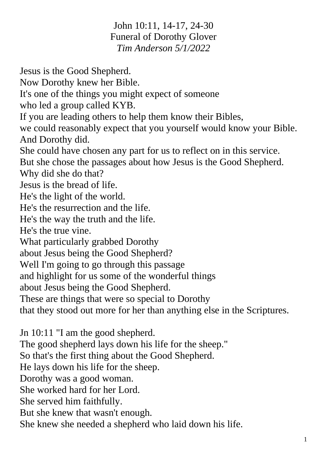John 10:11, 14-17, 24-30 Funeral of Dorothy Glover *Tim Anderson 5/1/2022*

Jesus is the Good Shepherd.

Now Dorothy knew her Bible.

It's one of the things you might expect of someone

who led a group called KYB.

If you are leading others to help them know their Bibles,

we could reasonably expect that you yourself would know your Bible. And Dorothy did.

She could have chosen any part for us to reflect on in this service.

But she chose the passages about how Jesus is the Good Shepherd.

Why did she do that?

Jesus is the bread of life.

He's the light of the world.

He's the resurrection and the life.

He's the way the truth and the life.

He's the true vine.

What particularly grabbed Dorothy

about Jesus being the Good Shepherd?

Well I'm going to go through this passage

and highlight for us some of the wonderful things

about Jesus being the Good Shepherd.

These are things that were so special to Dorothy

that they stood out more for her than anything else in the Scriptures.

Jn 10:11 "I am the good shepherd. The good shepherd lays down his life for the sheep." So that's the first thing about the Good Shepherd. He lays down his life for the sheep. Dorothy was a good woman. She worked hard for her Lord. She served him faithfully. But she knew that wasn't enough.

She knew she needed a shepherd who laid down his life.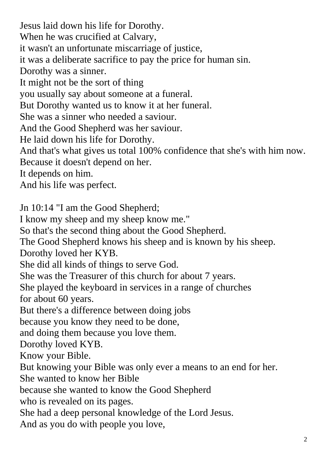Jesus laid down his life for Dorothy. When he was crucified at Calvary, it wasn't an unfortunate miscarriage of justice, it was a deliberate sacrifice to pay the price for human sin. Dorothy was a sinner. It might not be the sort of thing you usually say about someone at a funeral. But Dorothy wanted us to know it at her funeral. She was a sinner who needed a saviour. And the Good Shepherd was her saviour. He laid down his life for Dorothy. And that's what gives us total 100% confidence that she's with him now. Because it doesn't depend on her. It depends on him. And his life was perfect. Jn 10:14 "I am the Good Shepherd; I know my sheep and my sheep know me." So that's the second thing about the Good Shepherd. The Good Shepherd knows his sheep and is known by his sheep. Dorothy loved her KYB. She did all kinds of things to serve God. She was the Treasurer of this church for about 7 years. She played the keyboard in services in a range of churches

for about 60 years.

But there's a difference between doing jobs

because you know they need to be done,

and doing them because you love them.

Dorothy loved KYB.

Know your Bible.

But knowing your Bible was only ever a means to an end for her.

She wanted to know her Bible

because she wanted to know the Good Shepherd

who is revealed on its pages.

She had a deep personal knowledge of the Lord Jesus.

And as you do with people you love,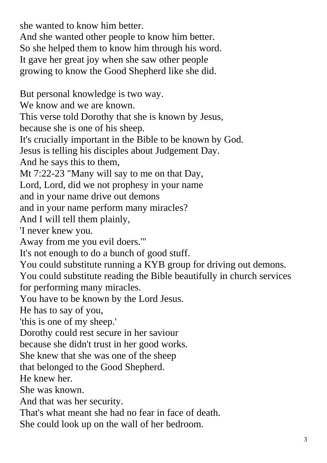she wanted to know him better. And she wanted other people to know him better. So she helped them to know him through his word. It gave her great joy when she saw other people growing to know the Good Shepherd like she did. But personal knowledge is two way. We know and we are known. This verse told Dorothy that she is known by Jesus,

because she is one of his sheep.

It's crucially important in the Bible to be known by God.

Jesus is telling his disciples about Judgement Day.

And he says this to them,

Mt 7:22-23 "Many will say to me on that Day,

Lord, Lord, did we not prophesy in your name

and in your name drive out demons

and in your name perform many miracles?

And I will tell them plainly,

'I never knew you.

Away from me you evil doers.'"

It's not enough to do a bunch of good stuff.

You could substitute running a KYB group for driving out demons. You could substitute reading the Bible beautifully in church services for performing many miracles.

You have to be known by the Lord Jesus.

He has to say of you,

'this is one of my sheep.'

Dorothy could rest secure in her saviour

because she didn't trust in her good works.

She knew that she was one of the sheep

that belonged to the Good Shepherd.

He knew her.

She was known.

And that was her security.

That's what meant she had no fear in face of death.

She could look up on the wall of her bedroom.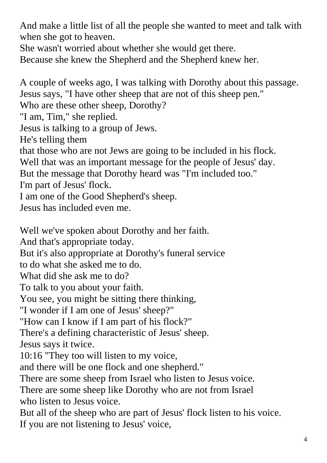And make a little list of all the people she wanted to meet and talk with when she got to heaven.

She wasn't worried about whether she would get there.

Because she knew the Shepherd and the Shepherd knew her.

A couple of weeks ago, I was talking with Dorothy about this passage. Jesus says, "I have other sheep that are not of this sheep pen." Who are these other sheep, Dorothy? "I am, Tim," she replied. Jesus is talking to a group of Jews. He's telling them that those who are not Jews are going to be included in his flock. Well that was an important message for the people of Jesus' day. But the message that Dorothy heard was "I'm included too." I'm part of Jesus' flock. I am one of the Good Shepherd's sheep. Jesus has included even me. Well we've spoken about Dorothy and her faith. And that's appropriate today. But it's also appropriate at Dorothy's funeral service to do what she asked me to do. What did she ask me to do? To talk to you about your faith. You see, you might be sitting there thinking, "I wonder if I am one of Jesus' sheep?" "How can I know if I am part of his flock?" There's a defining characteristic of Jesus' sheep. Jesus says it twice. 10:16 "They too will listen to my voice, and there will be one flock and one shepherd." There are some sheep from Israel who listen to Jesus voice. There are some sheep like Dorothy who are not from Israel who listen to Jesus voice.

But all of the sheep who are part of Jesus' flock listen to his voice. If you are not listening to Jesus' voice,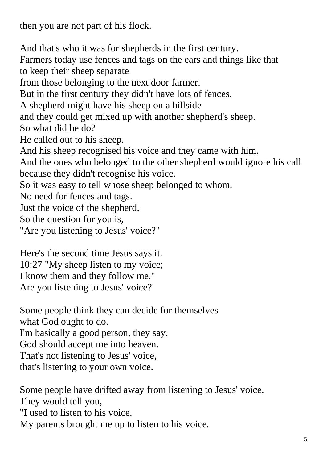then you are not part of his flock.

And that's who it was for shepherds in the first century. Farmers today use fences and tags on the ears and things like that to keep their sheep separate from those belonging to the next door farmer. But in the first century they didn't have lots of fences. A shepherd might have his sheep on a hillside and they could get mixed up with another shepherd's sheep. So what did he do? He called out to his sheep. And his sheep recognised his voice and they came with him. And the ones who belonged to the other shepherd would ignore his call because they didn't recognise his voice. So it was easy to tell whose sheep belonged to whom. No need for fences and tags. Just the voice of the shepherd. So the question for you is, "Are you listening to Jesus' voice?"

Here's the second time Jesus says it. 10:27 "My sheep listen to my voice; I know them and they follow me." Are you listening to Jesus' voice?

Some people think they can decide for themselves what God ought to do. I'm basically a good person, they say. God should accept me into heaven. That's not listening to Jesus' voice, that's listening to your own voice.

Some people have drifted away from listening to Jesus' voice. They would tell you, "I used to listen to his voice.

My parents brought me up to listen to his voice.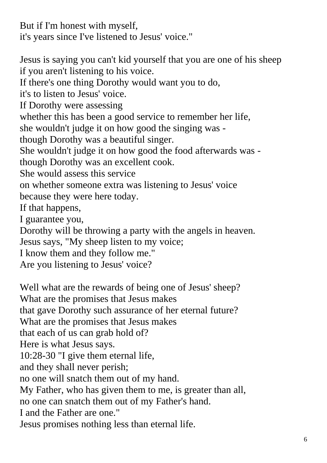But if I'm honest with myself, it's years since I've listened to Jesus' voice."

Jesus is saying you can't kid yourself that you are one of his sheep if you aren't listening to his voice.

If there's one thing Dorothy would want you to do,

it's to listen to Jesus' voice.

If Dorothy were assessing

whether this has been a good service to remember her life,

she wouldn't judge it on how good the singing was -

though Dorothy was a beautiful singer.

She wouldn't judge it on how good the food afterwards was -

though Dorothy was an excellent cook.

She would assess this service

on whether someone extra was listening to Jesus' voice

because they were here today.

If that happens,

I guarantee you,

Dorothy will be throwing a party with the angels in heaven.

Jesus says, "My sheep listen to my voice;

I know them and they follow me."

Are you listening to Jesus' voice?

Well what are the rewards of being one of Jesus' sheep? What are the promises that Jesus makes that gave Dorothy such assurance of her eternal future? What are the promises that Jesus makes that each of us can grab hold of? Here is what Jesus says. 10:28-30 "I give them eternal life, and they shall never perish; no one will snatch them out of my hand. My Father, who has given them to me, is greater than all, no one can snatch them out of my Father's hand. I and the Father are one." Jesus promises nothing less than eternal life.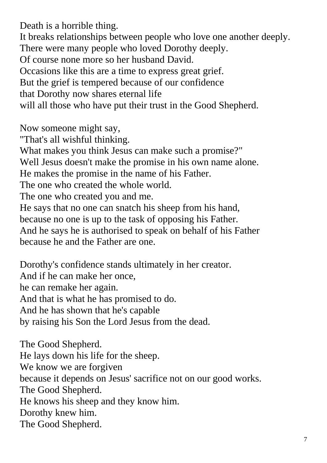Death is a horrible thing.

It breaks relationships between people who love one another deeply. There were many people who loved Dorothy deeply. Of course none more so her husband David. Occasions like this are a time to express great grief. But the grief is tempered because of our confidence that Dorothy now shares eternal life will all those who have put their trust in the Good Shepherd.

Now someone might say,

"That's all wishful thinking.

What makes you think Jesus can make such a promise?"

Well Jesus doesn't make the promise in his own name alone.

He makes the promise in the name of his Father.

The one who created the whole world.

The one who created you and me.

He says that no one can snatch his sheep from his hand,

because no one is up to the task of opposing his Father.

And he says he is authorised to speak on behalf of his Father because he and the Father are one.

Dorothy's confidence stands ultimately in her creator. And if he can make her once, he can remake her again. And that is what he has promised to do. And he has shown that he's capable by raising his Son the Lord Jesus from the dead.

The Good Shepherd. He lays down his life for the sheep. We know we are forgiven because it depends on Jesus' sacrifice not on our good works. The Good Shepherd. He knows his sheep and they know him. Dorothy knew him. The Good Shepherd.